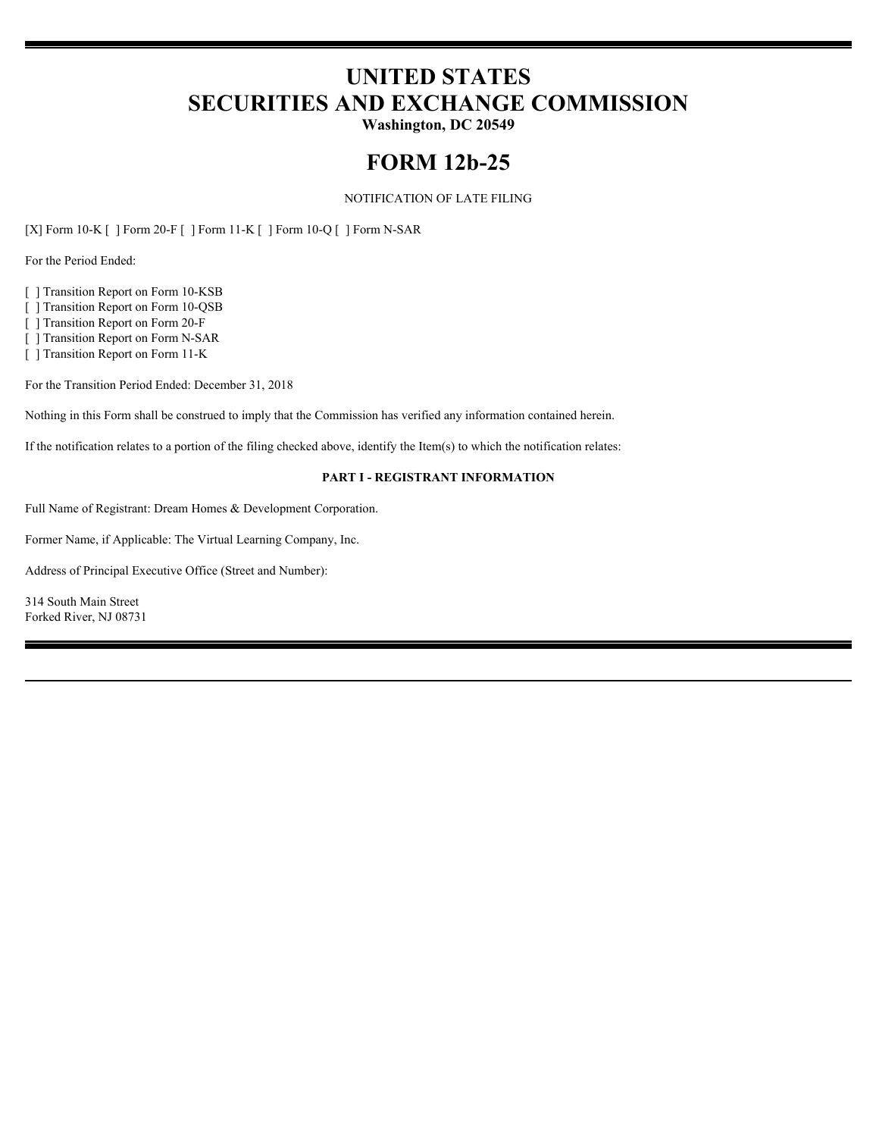# **UNITED STATES SECURITIES AND EXCHANGE COMMISSION**

**Washington, DC 20549**

# **FORM 12b-25**

NOTIFICATION OF LATE FILING

[X] Form 10-K [ ] Form 20-F [ ] Form 11-K [ ] Form 10-Q [ ] Form N-SAR

For the Period Ended:

[ ] Transition Report on Form 10-KSB

[ ] Transition Report on Form 10-QSB

[ ] Transition Report on Form 20-F

[ ] Transition Report on Form N-SAR

[ ] Transition Report on Form 11-K

For the Transition Period Ended: December 31, 2018

Nothing in this Form shall be construed to imply that the Commission has verified any information contained herein.

If the notification relates to a portion of the filing checked above, identify the Item(s) to which the notification relates:

#### **PART I - REGISTRANT INFORMATION**

Full Name of Registrant: Dream Homes & Development Corporation.

Former Name, if Applicable: The Virtual Learning Company, Inc.

Address of Principal Executive Office (Street and Number):

314 South Main Street Forked River, NJ 08731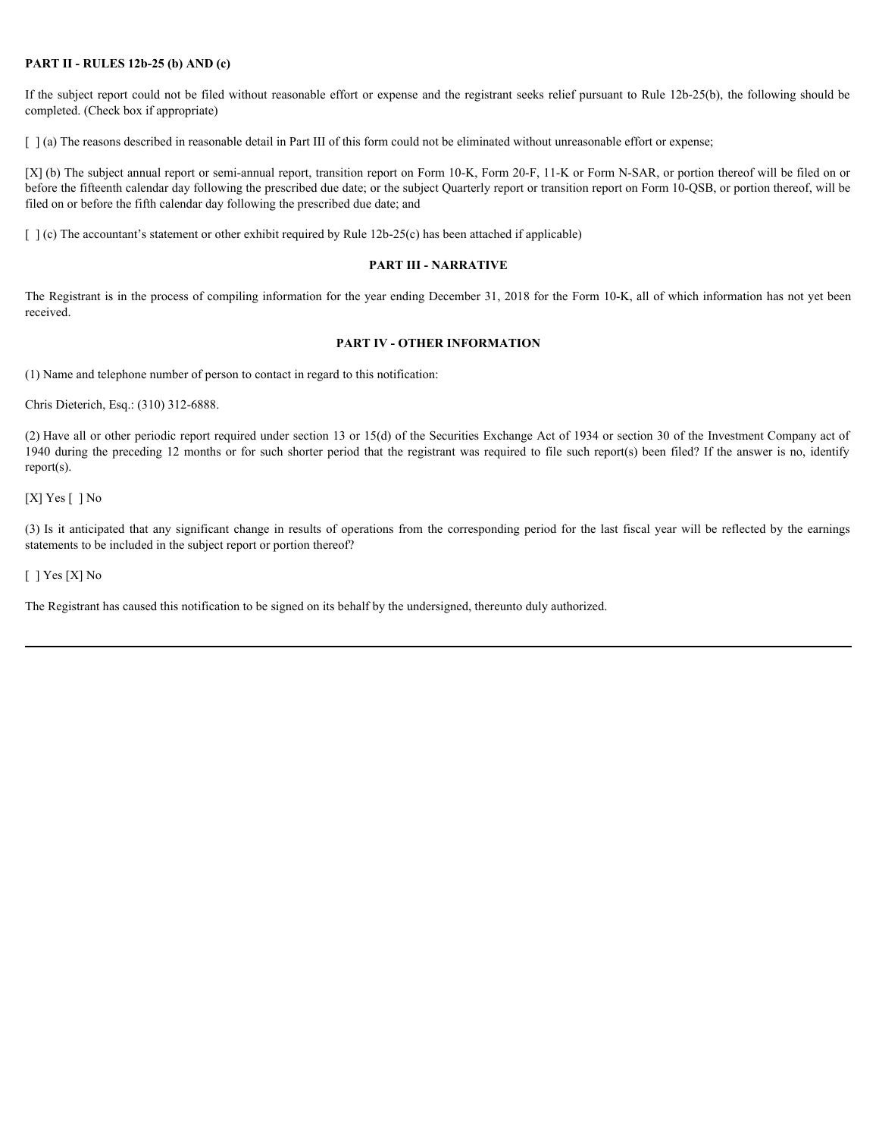### **PART II - RULES 12b-25 (b) AND (c)**

If the subject report could not be filed without reasonable effort or expense and the registrant seeks relief pursuant to Rule 12b-25(b), the following should be completed. (Check box if appropriate)

[  $\alpha$ ] (a) The reasons described in reasonable detail in Part III of this form could not be eliminated without unreasonable effort or expense;

[X] (b) The subject annual report or semi-annual report, transition report on Form 10-K, Form 20-F, 11-K or Form N-SAR, or portion thereof will be filed on or before the fifteenth calendar day following the prescribed due date; or the subject Quarterly report or transition report on Form 10-QSB, or portion thereof, will be filed on or before the fifth calendar day following the prescribed due date; and

 $\lceil \cdot \rceil$  (c) The accountant's statement or other exhibit required by Rule 12b-25(c) has been attached if applicable)

#### **PART III - NARRATIVE**

The Registrant is in the process of compiling information for the year ending December 31, 2018 for the Form 10-K, all of which information has not yet been received.

#### **PART IV - OTHER INFORMATION**

(1) Name and telephone number of person to contact in regard to this notification:

Chris Dieterich, Esq.: (310) 312-6888.

(2) Have all or other periodic report required under section 13 or 15(d) of the Securities Exchange Act of 1934 or section 30 of the Investment Company act of 1940 during the preceding 12 months or for such shorter period that the registrant was required to file such report(s) been filed? If the answer is no, identify report(s). **PART II - RULES 120-25 (b) AND (c)**<br>
If the subject report oned a the plate without reasonable effort or expense and the registrant seeks relief parsument to Rule 120-25(b), the following should be<br>
1) Icis ) The results

 $[X]$  Yes  $[ ]$  No

statements to be included in the subject report or portion thereof?

[ ] Yes [X] No

The Registrant has caused this notification to be signed on its behalf by the undersigned, thereunto duly authorized.